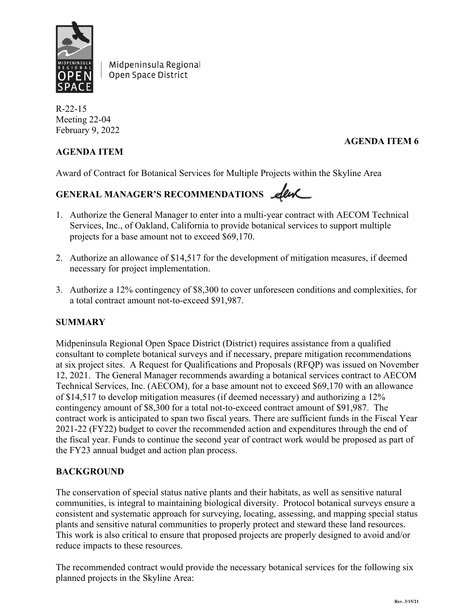

Midpeninsula Regional Open Space District

R-22-15 Meeting 22-04 February 9, 2022

# **AGENDA ITEM 6**

# **AGENDA ITEM**

Award of Contract for Botanical Services for Multiple Projects within the Skyline Area

# GENERAL MANAGER'S RECOMMENDATIONS **Lew**

- 1. Authorize the General Manager to enter into a multi-year contract with AECOM Technical Services, Inc., of Oakland, California to provide botanical services to support multiple projects for a base amount not to exceed \$69,170.
- 2. Authorize an allowance of \$14,517 for the development of mitigation measures, if deemed necessary for project implementation.
- 3. Authorize a 12% contingency of \$8,300 to cover unforeseen conditions and complexities, for a total contract amount not-to-exceed \$91,987.

# **SUMMARY**

Midpeninsula Regional Open Space District (District) requires assistance from a qualified consultant to complete botanical surveys and if necessary, prepare mitigation recommendations at six project sites. A Request for Qualifications and Proposals (RFQP) was issued on November 12, 2021. The General Manager recommends awarding a botanical services contract to AECOM Technical Services, Inc. (AECOM), for a base amount not to exceed \$69,170 with an allowance of \$14,517 to develop mitigation measures (if deemed necessary) and authorizing a 12% contingency amount of \$8,300 for a total not-to-exceed contract amount of \$91,987. The contract work is anticipated to span two fiscal years. There are sufficient funds in the Fiscal Year 2021-22 (FY22) budget to cover the recommended action and expenditures through the end of the fiscal year. Funds to continue the second year of contract work would be proposed as part of the FY23 annual budget and action plan process.

## **BACKGROUND**

The conservation of special status native plants and their habitats, as well as sensitive natural communities, is integral to maintaining biological diversity. Protocol botanical surveys ensure a consistent and systematic approach for surveying, locating, assessing, and mapping special status plants and sensitive natural communities to properly protect and steward these land resources. This work is also critical to ensure that proposed projects are properly designed to avoid and/or reduce impacts to these resources.

The recommended contract would provide the necessary botanical services for the following six planned projects in the Skyline Area: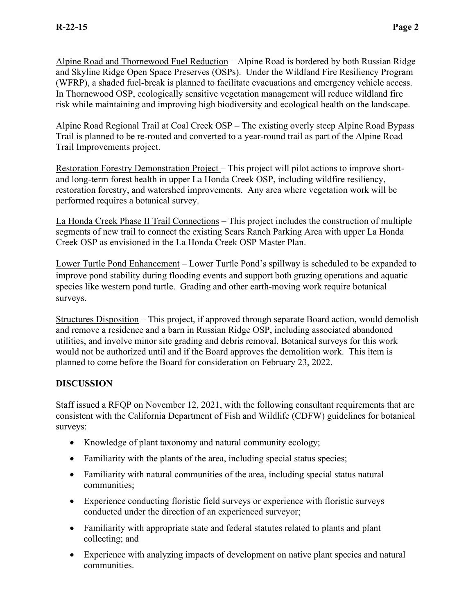Alpine Road and Thornewood Fuel Reduction – Alpine Road is bordered by both Russian Ridge and Skyline Ridge Open Space Preserves (OSPs). Under the Wildland Fire Resiliency Program (WFRP), a shaded fuel-break is planned to facilitate evacuations and emergency vehicle access. In Thornewood OSP, ecologically sensitive vegetation management will reduce wildland fire risk while maintaining and improving high biodiversity and ecological health on the landscape.

Alpine Road Regional Trail at Coal Creek OSP – The existing overly steep Alpine Road Bypass Trail is planned to be re-routed and converted to a year-round trail as part of the Alpine Road Trail Improvements project.

Restoration Forestry Demonstration Project – This project will pilot actions to improve shortand long-term forest health in upper La Honda Creek OSP, including wildfire resiliency, restoration forestry, and watershed improvements. Any area where vegetation work will be performed requires a botanical survey.

La Honda Creek Phase II Trail Connections – This project includes the construction of multiple segments of new trail to connect the existing Sears Ranch Parking Area with upper La Honda Creek OSP as envisioned in the La Honda Creek OSP Master Plan.

Lower Turtle Pond Enhancement – Lower Turtle Pond's spillway is scheduled to be expanded to improve pond stability during flooding events and support both grazing operations and aquatic species like western pond turtle. Grading and other earth-moving work require botanical surveys.

Structures Disposition – This project, if approved through separate Board action, would demolish and remove a residence and a barn in Russian Ridge OSP, including associated abandoned utilities, and involve minor site grading and debris removal. Botanical surveys for this work would not be authorized until and if the Board approves the demolition work. This item is planned to come before the Board for consideration on February 23, 2022.

# **DISCUSSION**

Staff issued a RFQP on November 12, 2021, with the following consultant requirements that are consistent with the California Department of Fish and Wildlife (CDFW) guidelines for botanical surveys:

- Knowledge of plant taxonomy and natural community ecology;
- Familiarity with the plants of the area, including special status species;
- Familiarity with natural communities of the area, including special status natural communities;
- Experience conducting floristic field surveys or experience with floristic surveys conducted under the direction of an experienced surveyor;
- Familiarity with appropriate state and federal statutes related to plants and plant collecting; and
- Experience with analyzing impacts of development on native plant species and natural communities.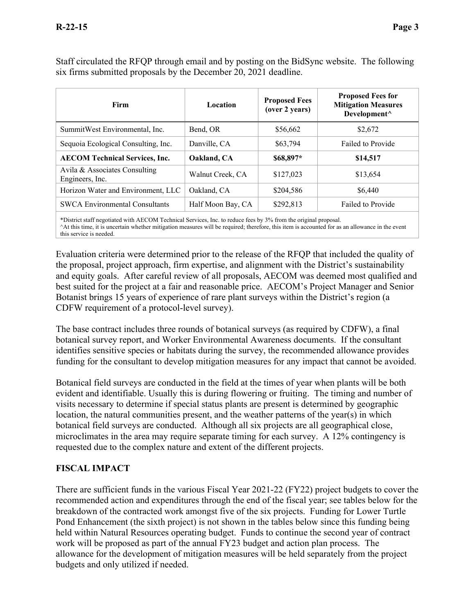| Firm                                             | Location          | <b>Proposed Fees</b><br>(over 2 years) | <b>Proposed Fees for</b><br><b>Mitigation Measures</b><br>Development^ |  |
|--------------------------------------------------|-------------------|----------------------------------------|------------------------------------------------------------------------|--|
| SummitWest Environmental, Inc.                   | Bend, OR          | \$56,662                               | \$2,672                                                                |  |
| Sequoia Ecological Consulting, Inc.              | Danville, CA      | \$63,794                               | Failed to Provide                                                      |  |
| <b>AECOM Technical Services, Inc.</b>            | Oakland, CA       | \$68,897*                              | \$14,517                                                               |  |
| Avila & Associates Consulting<br>Engineers, Inc. | Walnut Creek, CA  | \$127,023                              | \$13,654                                                               |  |
| Horizon Water and Environment, LLC               | Oakland, CA       | \$204,586                              | \$6,440                                                                |  |
| <b>SWCA Environmental Consultants</b>            | Half Moon Bay, CA | \$292,813                              | Failed to Provide                                                      |  |
|                                                  |                   |                                        |                                                                        |  |

Staff circulated the RFQP through email and by posting on the BidSync website. The following six firms submitted proposals by the December 20, 2021 deadline.

\*District staff negotiated with AECOM Technical Services, Inc. to reduce fees by 3% from the original proposal. ^At this time, it is uncertain whether mitigation measures will be required; therefore, this item is accounted for as an allowance in the event this service is needed.

Evaluation criteria were determined prior to the release of the RFQP that included the quality of the proposal, project approach, firm expertise, and alignment with the District's sustainability and equity goals. After careful review of all proposals, AECOM was deemed most qualified and best suited for the project at a fair and reasonable price. AECOM's Project Manager and Senior Botanist brings 15 years of experience of rare plant surveys within the District's region (a CDFW requirement of a protocol-level survey).

The base contract includes three rounds of botanical surveys (as required by CDFW), a final botanical survey report, and Worker Environmental Awareness documents. If the consultant identifies sensitive species or habitats during the survey, the recommended allowance provides funding for the consultant to develop mitigation measures for any impact that cannot be avoided.

Botanical field surveys are conducted in the field at the times of year when plants will be both evident and identifiable. Usually this is during flowering or fruiting. The timing and number of visits necessary to determine if special status plants are present is determined by geographic location, the natural communities present, and the weather patterns of the year(s) in which botanical field surveys are conducted. Although all six projects are all geographical close, microclimates in the area may require separate timing for each survey. A 12% contingency is requested due to the complex nature and extent of the different projects.

# **FISCAL IMPACT**

There are sufficient funds in the various Fiscal Year 2021-22 (FY22) project budgets to cover the recommended action and expenditures through the end of the fiscal year; see tables below for the breakdown of the contracted work amongst five of the six projects. Funding for Lower Turtle Pond Enhancement (the sixth project) is not shown in the tables below since this funding being held within Natural Resources operating budget. Funds to continue the second year of contract work will be proposed as part of the annual FY23 budget and action plan process. The allowance for the development of mitigation measures will be held separately from the project budgets and only utilized if needed.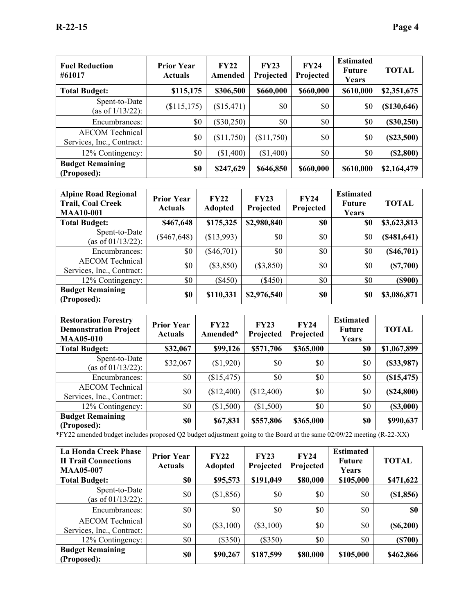| <b>Fuel Reduction</b><br>#61017                     | <b>Prior Year</b><br><b>Actuals</b> | FY22<br>Amended | FY23<br>Projected | <b>FY24</b><br>Projected | <b>Estimated</b><br><b>Future</b><br>Years | <b>TOTAL</b> |
|-----------------------------------------------------|-------------------------------------|-----------------|-------------------|--------------------------|--------------------------------------------|--------------|
| <b>Total Budget:</b>                                | \$115,175                           | \$306,500       | \$660,000         | \$660,000                | \$610,000                                  | \$2,351,675  |
| Spent-to-Date<br>(as of $1/13/22$ ):                | (\$115,175)                         | (\$15,471)      | \$0               | \$0                      | \$0                                        | (\$130,646)  |
| Encumbrances:                                       | \$0                                 | $(\$30,250)$    | \$0               | \$0                      | \$0                                        | $(\$30,250)$ |
| <b>AECOM</b> Technical<br>Services, Inc., Contract: | \$0                                 | (\$11,750)      | (\$11,750)        | \$0                      | \$0                                        | (\$23,500)   |
| 12% Contingency:                                    | \$0                                 | (\$1,400)       | (\$1,400)         | \$0                      | \$0                                        | (\$2,800)    |
| <b>Budget Remaining</b><br>(Proposed):              | \$0                                 | \$247,629       | \$646,850         | \$660,000                | \$610,000                                  | \$2,164,479  |

| <b>Alpine Road Regional</b><br><b>Trail, Coal Creek</b><br><b>MAA10-001</b> | <b>Prior Year</b><br><b>Actuals</b> | FY22<br><b>Adopted</b> | FY23<br>Projected | <b>FY24</b><br>Projected | <b>Estimated</b><br><b>Future</b><br>Years | <b>TOTAL</b>  |
|-----------------------------------------------------------------------------|-------------------------------------|------------------------|-------------------|--------------------------|--------------------------------------------|---------------|
| <b>Total Budget:</b>                                                        | \$467,648                           | \$175,325              | \$2,980,840       | \$0                      | \$0                                        | \$3,623,813   |
| Spent-to-Date<br>(as of 01/13/22):                                          | $(\$467,648)$                       | (\$13,993)             | \$0               | \$0                      | \$0                                        | (\$481,641)   |
| Encumbrances:                                                               | \$0                                 | $(\$46,701)$           | \$0               | \$0                      | \$0                                        | $(\$46,701)$  |
| <b>AECOM</b> Technical<br>Services, Inc., Contract:                         | \$0                                 | $(\$3,850)$            | $(\$3,850)$       | \$0                      | \$0                                        | (S7,700)      |
| 12% Contingency:                                                            | \$0                                 | $(\$450)$              | $(\$450)$         | \$0                      | \$0                                        | $($ \$900 $)$ |
| <b>Budget Remaining</b><br>(Proposed):                                      | \$0                                 | \$110,331              | \$2,976,540       | \$0                      | \$0                                        | \$3,086,871   |

| <b>Restoration Forestry</b><br><b>Demonstration Project</b><br><b>MAA05-010</b> | <b>Prior Year</b><br><b>Actuals</b> | FY22<br>Amended* | FY23<br>Projected | <b>FY24</b><br>Projected | <b>Estimated</b><br><b>Future</b><br>Years | <b>TOTAL</b> |
|---------------------------------------------------------------------------------|-------------------------------------|------------------|-------------------|--------------------------|--------------------------------------------|--------------|
| <b>Total Budget:</b>                                                            | \$32,067                            | \$99,126         | \$571,706         | \$365,000                | \$0                                        | \$1,067,899  |
| Spent-to-Date<br>(as of 01/13/22):                                              | \$32,067                            | (\$1,920)        | \$0               | \$0                      | \$0                                        | (\$33,987)   |
| Encumbrances:                                                                   | \$0                                 | (\$15,475)       | \$0               | \$0                      | \$0                                        | (\$15,475)   |
| <b>AECOM</b> Technical<br>Services, Inc., Contract:                             | \$0                                 | (\$12,400)       | (\$12,400)        | \$0                      | \$0                                        | (\$24,800)   |
| 12% Contingency:                                                                | \$0                                 | (\$1,500)        | (\$1,500)         | \$0                      | \$0                                        | (\$3,000)    |
| <b>Budget Remaining</b><br>(Proposed):                                          | \$0                                 | \$67,831         | \$557,806         | \$365,000                | \$0                                        | \$990,637    |

\*FY22 amended budget includes proposed Q2 budget adjustment going to the Board at the same 02/09/22 meeting (R-22-XX)

| <b>La Honda Creek Phase</b><br><b>II Trail Connections</b><br><b>MAA05-007</b> | <b>Prior Year</b><br><b>Actuals</b> | <b>FY22</b><br><b>Adopted</b> | <b>FY23</b><br>Projected | <b>FY24</b><br>Projected | <b>Estimated</b><br><b>Future</b><br>Years | <b>TOTAL</b> |
|--------------------------------------------------------------------------------|-------------------------------------|-------------------------------|--------------------------|--------------------------|--------------------------------------------|--------------|
| <b>Total Budget:</b>                                                           | \$0                                 | \$95,573                      | \$191,049                | \$80,000                 | \$105,000                                  | \$471,622    |
| Spent-to-Date<br>(as of 01/13/22):                                             | \$0                                 | (\$1,856)                     | \$0                      | \$0                      | \$0                                        | (\$1,856)    |
| Encumbrances:                                                                  | \$0                                 | \$0                           | \$0                      | \$0                      | \$0                                        | \$0          |
| <b>AECOM</b> Technical<br>Services, Inc., Contract:                            | \$0                                 | $(\$3,100)$                   | $(\$3,100)$              | \$0                      | \$0                                        | $(\$6,200)$  |
| 12% Contingency:                                                               | \$0                                 | $(\$350)$                     | $(\$350)$                | \$0                      | \$0                                        | (S700)       |
| <b>Budget Remaining</b><br>(Proposed):                                         | \$0                                 | \$90,267                      | \$187,599                | \$80,000                 | \$105,000                                  | \$462,866    |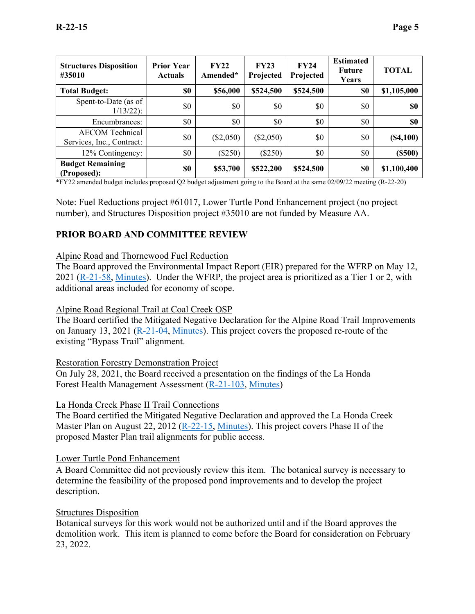| <b>Structures Disposition</b><br>#35010             | <b>Prior Year</b><br><b>Actuals</b> | FY22<br>Amended* | FY23<br>Projected | FY24<br>Projected | <b>Estimated</b><br><b>Future</b><br>Years | <b>TOTAL</b> |
|-----------------------------------------------------|-------------------------------------|------------------|-------------------|-------------------|--------------------------------------------|--------------|
| <b>Total Budget:</b>                                | \$0                                 | \$56,000         | \$524,500         | \$524,500         | \$0                                        | \$1,105,000  |
| Spent-to-Date (as of<br>$1/13/22$ :                 | \$0                                 | \$0              | \$0               | \$0               | \$0                                        | <b>SO</b>    |
| Encumbrances:                                       | \$0                                 | \$0              | \$0               | \$0               | \$0                                        | \$0          |
| <b>AECOM</b> Technical<br>Services, Inc., Contract: | \$0                                 | $(\$2,050)$      | $(\$2,050)$       | \$0               | \$0                                        | (S4,100)     |
| 12% Contingency:                                    | \$0                                 | $(\$250)$        | $(\$250)$         | \$0               | \$0                                        | $($ \$500)   |
| <b>Budget Remaining</b><br>(Proposed):              | \$0                                 | \$53,700         | \$522,200         | \$524,500         | \$0                                        | \$1,100,400  |

\*FY22 amended budget includes proposed Q2 budget adjustment going to the Board at the same 02/09/22 meeting (R-22-20)

Note: Fuel Reductions project #61017, Lower Turtle Pond Enhancement project (no project number), and Structures Disposition project #35010 are not funded by Measure AA.

## **PRIOR BOARD AND COMMITTEE REVIEW**

#### Alpine Road and Thornewood Fuel Reduction

The Board approved the Environmental Impact Report (EIR) prepared for the WFRP on May 12, 2021 [\(R-21-58,](https://www.openspace.org/sites/default/files/20210512_FEIRWildlandFireResiliencyProgram_R-21-58.pdf) [Minutes\)](https://www.openspace.org/sites/default/files/20210512_BOD_minutes_APPROVED.pdf). Under the WFRP, the project area is prioritized as a Tier 1 or 2, with additional areas included for economy of scope.

## Alpine Road Regional Trail at Coal Creek OSP

The Board certified the Mitigated Negative Declaration for the Alpine Road Trail Improvements on January 13, 2021 [\(R-21-04,](https://openspace.sharepoint.com/:w:/r/GM/BoardMeetings/2021%20Reports/20210113/Alpine%20Road%20CEQA%20Certification/Alpine%20Road%20CEQA%20Board%20Report%2020210113.docx?d=w79e235fcb33c4501b6af4e1b9d982500&csf=1&web=1&e=QOVua5) [Minutes\)](https://www.openspace.org/sites/default/files/20210113_BOD_minutes_APPROVED.pdf). This project covers the proposed re-route of the existing "Bypass Trail" alignment.

#### Restoration Forestry Demonstration Project

On July 28, 2021, the Board received a presentation on the findings of the La Honda Forest Health Management Assessment [\(R-21-103,](https://www.openspace.org/sites/default/files/20210728_LaHondaForestMgmt_R-21-103_0.pdf) [Minutes\)](https://www.openspace.org/sites/default/files/20210728_BOD_minutes_APPROVED.pdf)

#### La Honda Creek Phase II Trail Connections

The Board certified the Mitigated Negative Declaration and approved the La Honda Creek Master Plan on August 22, 2012 [\(R-22-15,](https://www.openspace.org/sites/default/files/CGI-BIN/agendas_minutes/2012.08.22.LaHondaCreek_ISMND_R-12-83.pdf) [Minutes\)](https://openspace.sharepoint.com/GM/BoardMeetings/Forms/AllItems.aspx?id=%2FGM%2FBoardMeetings%2F2012%20Reports%2F12%2D30%20September%2012%2C%202012%20Regular%20Meeting%2F1%20%2D%20Minutes%2F2012%2E08%2E22%5FAPPROVED%5F12%2D29%2Epdf&parent=%2FGM%2FBoardMeetings%2F2012%20Reports%2F12%2D30%20September%2012%2C%202012%20Regular%20Meeting%2F1%20%2D%20Minutes). This project covers Phase II of the proposed Master Plan trail alignments for public access.

#### Lower Turtle Pond Enhancement

A Board Committee did not previously review this item. The botanical survey is necessary to determine the feasibility of the proposed pond improvements and to develop the project description.

#### Structures Disposition

Botanical surveys for this work would not be authorized until and if the Board approves the demolition work. This item is planned to come before the Board for consideration on February 23, 2022.